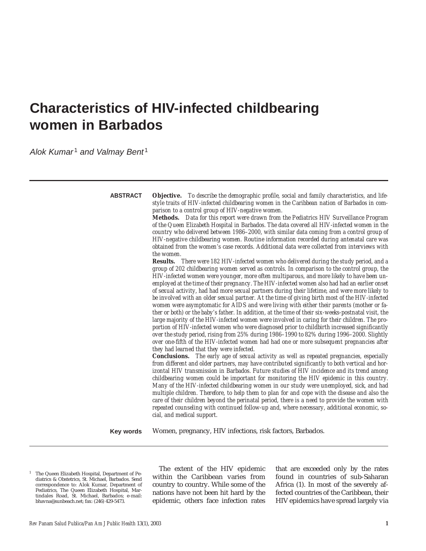# **Characteristics of HIV-infected childbearing women in Barbados**

Alok Kumar<sup>1</sup> and Valmay Bent<sup>1</sup>

**Objective.** *To describe the demographic profile, social and family characteristics, and lifestyle traits of HIV-infected childbearing women in the Caribbean nation of Barbados in comparison to a control group of HIV-negative women.* **Methods.** *Data for this report were drawn from the Pediatrics HIV Surveillance Program of the Queen Elizabeth Hospital in Barbados. The data covered all HIV-infected women in the country who delivered between 1986–2000, with similar data coming from a control group of HIV-negative childbearing women. Routine information recorded during antenatal care was obtained from the women's case records. Additional data were collected from interviews with the women.* **Results.** *There were 182 HIV-infected women who delivered during the study period, and a group of 202 childbearing women served as controls. In comparison to the control group, the HIV-infected women were younger, more often multiparous, and more likely to have been unemployed at the time of their pregnancy. The HIV-infected women also had had an earlier onset of sexual activity, had had more sexual partners during their lifetime, and were more likely to be involved with an older sexual partner. At the time of giving birth most of the HIV-infected women were asymptomatic for AIDS and were living with either their parents (mother or father or both) or the baby's father. In addition, at the time of their six-weeks-postnatal visit, the large majority of the HIV-infected women were involved in caring for their children. The proportion of HIV-infected women who were diagnosed prior to childbirth increased significantly over the study period, rising from 25% during 1986–1990 to 82% during 1996–2000. Slightly over one-fifth of the HIV-infected women had had one or more subsequent pregnancies after they had learned that they were infected.*  **Conclusions.** *The early age of sexual activity as well as repeated pregnancies, especially from different and older partners, may have contributed significantly to both vertical and horizontal HIV transmission in Barbados. Future studies of HIV incidence and its trend among childbearing women could be important for monitoring the HIV epidemic in this country. Many of the HIV-infected childbearing women in our study were unemployed, sick, and had multiple children. Therefore, to help them to plan for and cope with the disease and also the care of their children beyond the perinatal period, there is a need to provide the women with repeated counseling with continued follow-up and, where necessary, additional economic, social, and medical support.* Women, pregnancy, HIV infections, risk factors, Barbados. **ABSTRACT Key words**

<sup>1</sup> The Queen Elizabeth Hospital, Department of Pediatrics & Obstetrics, St. Michael, Barbados. Send correspondence to: Alok Kumar, Department of Pediatrics, The Queen Elizabeth Hospital, Martindales Road, St. Michael, Barbados; e-mail: bhavna@sunbeach.net; fax: (246) 429-5473.

The extent of the HIV epidemic within the Caribbean varies from country to country. While some of the nations have not been hit hard by the epidemic, others face infection rates

that are exceeded only by the rates found in countries of sub-Saharan Africa (1). In most of the severely affected countries of the Caribbean, their HIV epidemics have spread largely via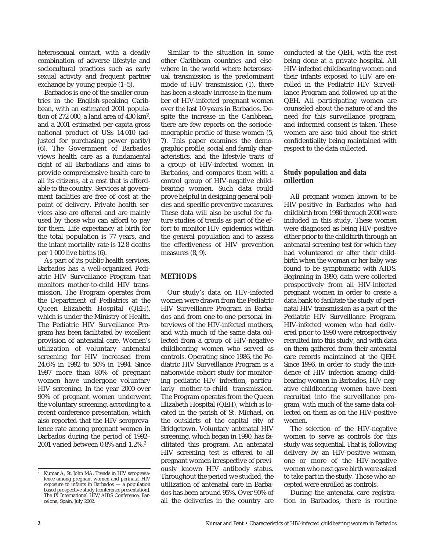heterosexual contact, with a deadly combination of adverse lifestyle and sociocultural practices such as early sexual activity and frequent partner exchange by young people (1–5).

Barbados is one of the smaller countries in the English-speaking Caribbean, with an estimated 2001 population of 272 000, a land area of 430 km2, and a 2001 estimated per-capita gross national product of US\$ 14 010 (adjusted for purchasing power parity) (6). The Government of Barbados views health care as a fundamental right of all Barbadians and aims to provide comprehensive health care to all its citizens, at a cost that is affordable to the country. Services at government facilities are free of cost at the point of delivery. Private health services also are offered and are mainly used by those who can afford to pay for them. Life expectancy at birth for the total population is 77 years, and the infant mortality rate is 12.8 deaths per 1 000 live births (6).

As part of its public health services, Barbados has a well-organized Pediatric HIV Surveillance Program that monitors mother-to-child HIV transmission. The Program operates from the Department of Pediatrics at the Queen Elizabeth Hospital (QEH), which is under the Ministry of Health. The Pediatric HIV Surveillance Program has been facilitated by excellent provision of antenatal care. Women's utilization of voluntary antenatal screening for HIV increased from 24.6% in 1992 to 50% in 1994. Since 1997 more than 80% of pregnant women have undergone voluntary HIV screening. In the year 2000 over 90% of pregnant women underwent the voluntary screening, according to a recent conference presentation, which also reported that the HIV seroprevalence rate among pregnant women in Barbados during the period of 1992– 2001 varied between 0.8% and 1.2%.<sup>2</sup>

Similar to the situation in some other Caribbean countries and elsewhere in the world where heterosexual transmission is the predominant mode of HIV transmission (1), there has been a steady increase in the number of HIV-infected pregnant women over the last 10 years in Barbados. Despite the increase in the Caribbean, there are few reports on the sociodemographic profile of these women (5, 7). This paper examines the demographic profile, social and family characteristics, and the lifestyle traits of a group of HIV-infected women in Barbados, and compares them with a control group of HIV-negative childbearing women. Such data could prove helpful in designing general policies and specific preventive measures. These data will also be useful for future studies of trends as part of the effort to monitor HIV epidemics within the general population and to assess the effectiveness of HIV prevention measures (8, 9).

## **METHODS**

Our study's data on HIV-infected women were drawn from the Pediatric HIV Surveillance Program in Barbados and from one-to-one personal interviews of the HIV-infected mothers, and with much of the same data collected from a group of HIV-negative childbearing women who served as controls. Operating since 1986, the Pediatric HIV Surveillance Program is a nationwide cohort study for monitoring pediatric HIV infection, particularly mother-to-child transmission. The Program operates from the Queen Elizabeth Hospital (QEH), which is located in the parish of St. Michael, on the outskirts of the capital city of Bridgetown. Voluntary antenatal HIV screening, which began in 1990, has facilitated this program. An antenatal HIV screening test is offered to all pregnant women irrespective of previously known HIV antibody status. Throughout the period we studied, the utilization of antenatal care in Barbados has been around 95%. Over 90% of all the deliveries in the country are

conducted at the QEH, with the rest being done at a private hospital. All HIV-infected childbearing women and their infants exposed to HIV are enrolled in the Pediatric HIV Surveillance Program and followed up at the QEH. All participating women are counseled about the nature of and the need for this surveillance program, and informed consent is taken. These women are also told about the strict confidentiality being maintained with respect to the data collected.

## **Study population and data collection**

All pregnant women known to be HIV-positive in Barbados who had childbirth from 1986 through 2000 were included in this study. These women were diagnosed as being HIV-positive either prior to the childbirth through an antenatal screening test for which they had volunteered or after their childbirth when the woman or her baby was found to be symptomatic with AIDS. Beginning in 1990, data were collected prospectively from all HIV-infected pregnant women in order to create a data bank to facilitate the study of perinatal HIV transmission as a part of the Pediatric HIV Surveillance Program. HIV-infected women who had delivered prior to 1990 were retrospectively recruited into this study, and with data on them gathered from their antenatal care records maintained at the QEH. Since 1996, in order to study the incidence of HIV infection among childbearing women in Barbados, HIV-negative childbearing women have been recruited into the surveillance program, with much of the same data collected on them as on the HIV-positive women.

The selection of the HIV-negative women to serve as controls for this study was sequential. That is, following delivery by an HIV-positive woman, one or more of the HIV-negative women who next gave birth were asked to take part in the study. Those who accepted were enrolled as controls.

During the antenatal care registration in Barbados, there is routine

Kumar A, St. John MA. Trends in HIV seroprevalence among pregnant women and perinatal HIV exposure to infants in Barbados — a population based prospective study [conference presentation]. The IX International HIV/AIDS Conference, Barcelona, Spain, July 2002.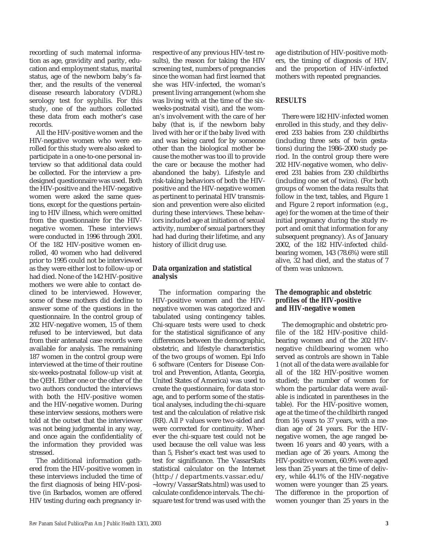recording of such maternal information as age, gravidity and parity, education and employment status, marital status, age of the newborn baby's father, and the results of the venereal disease research laboratory (VDRL) serology test for syphilis. For this study, one of the authors collected these data from each mother's case records.

All the HIV-positive women and the HIV-negative women who were enrolled for this study were also asked to participate in a one-to-one personal interview so that additional data could be collected. For the interview a predesigned questionnaire was used. Both the HIV-positive and the HIV-negative women were asked the same questions, except for the questions pertaining to HIV illness, which were omitted from the questionnaire for the HIVnegative women. These interviews were conducted in 1996 through 2001. Of the 182 HIV-positive women enrolled, 40 women who had delivered prior to 1995 could not be interviewed as they were either lost to follow-up or had died. None of the 142 HIV-positive mothers we were able to contact declined to be interviewed. However, some of these mothers did decline to answer some of the questions in the questionnaire. In the control group of 202 HIV-negative women, 15 of them refused to be interviewed, but data from their antenatal case records were available for analysis. The remaining 187 women in the control group were interviewed at the time of their routine six-weeks-postnatal follow-up visit at the QEH. Either one or the other of the two authors conducted the interviews with both the HIV-positive women and the HIV-negative women. During these interview sessions, mothers were told at the outset that the interviewer was not being judgmental in any way, and once again the confidentiality of the information they provided was stressed.

The additional information gathered from the HIV-positive women in these interviews included the time of the first diagnosis of being HIV-positive (in Barbados, women are offered HIV testing during each pregnancy ir-

respective of any previous HIV-test results), the reason for taking the HIV screening test, numbers of pregnancies since the woman had first learned that she was HIV-infected, the woman's present living arrangement (whom she was living with at the time of the sixweeks-postnatal visit), and the woman's involvement with the care of her baby (that is, if the newborn baby lived with her or if the baby lived with and was being cared for by someone other than the biological mother because the mother was too ill to provide the care or because the mother had abandoned the baby). Lifestyle and risk-taking behaviors of both the HIVpositive and the HIV-negative women as pertinent to perinatal HIV transmission and prevention were also elicited during these interviews. These behaviors included age at initiation of sexual activity, number of sexual partners they had had during their lifetime, and any history of illicit drug use.

## **Data organization and statistical analysis**

The information comparing the HIV-positive women and the HIVnegative women was categorized and tabulated using contingency tables. Chi-square tests were used to check for the statistical significance of any differences between the demographic, obstetric, and lifestyle characteristics of the two groups of women. Epi Info 6 software (Centers for Disease Control and Prevention, Atlanta, Georgia, United States of America) was used to create the questionnaire, for data storage, and to perform some of the statistical analyses, including the chi-square test and the calculation of relative risk (RR). All *P* values were two-sided and were corrected for continuity. Wherever the chi-square test could not be used because the cell value was less than 5, Fisher's exact test was used to test for significance. The VassarStats statistical calculator on the Internet (http://departments.vassar.edu/ ~lowry/VassarStats.html) was used to calculate confidence intervals. The chisquare test for trend was used with the

age distribution of HIV-positive mothers, the timing of diagnosis of HIV, and the proportion of HIV-infected mothers with repeated pregnancies.

#### **RESULTS**

There were 182 HIV-infected women enrolled in this study, and they delivered 233 babies from 230 childbirths (including three sets of twin gestations) during the 1986–2000 study period. In the control group there were 202 HIV-negative women, who delivered 231 babies from 230 childbirths (including one set of twins). (For both groups of women the data results that follow in the text, tables, and Figure 1 and Figure 2 report information (e.g., age) for the women at the time of their initial pregnancy during the study report and omit that information for any subsequent pregnancy). As of January 2002, of the 182 HIV-infected childbearing women, 143 (78.6%) were still alive, 32 had died, and the status of 7 of them was unknown.

### **The demographic and obstetric profiles of the HIV-positive and HIV-negative women**

The demographic and obstetric profile of the 182 HIV-positive childbearing women and of the 202 HIVnegative childbearing women who served as controls are shown in Table 1 (not all of the data were available for all of the 182 HIV-positive women studied; the number of women for whom the particular data were available is indicated in parentheses in the table). For the HIV-positive women, age at the time of the childbirth ranged from 16 years to 37 years, with a median age of 24 years. For the HIVnegative women, the age ranged between 16 years and 40 years, with a median age of 26 years. Among the HIV-positive women, 60.9% were aged less than 25 years at the time of delivery, while 44.1% of the HIV-negative women were younger than 25 years. The difference in the proportion of women younger than 25 years in the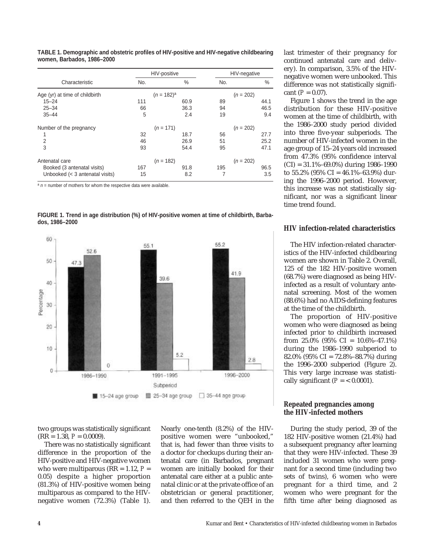|                                 |     | HIV-positive  | HIV-negative |             |  |
|---------------------------------|-----|---------------|--------------|-------------|--|
| Characteristic                  | No. | $\%$          | No.          | %           |  |
| Age (yr) at time of childbirth  |     | $(n = 182)^a$ | $(n = 202)$  |             |  |
| $15 - 24$                       | 111 | 60.9          | 89           | 44.1        |  |
| $25 - 34$                       | 66  | 36.3          | 94           | 46.5        |  |
| $35 - 44$                       | 5   | 2.4           | 19           | 9.4         |  |
| Number of the pregnancy         |     | $(n = 171)$   |              | $(n = 202)$ |  |
| 1                               | 32  | 18.7          | 56           | 27.7        |  |
| $\overline{2}$                  | 46  | 26.9          | 51           | 25.2        |  |
| 3                               | 93  | 54.4          | 95           | 47.1        |  |
| Antenatal care                  |     | $(n = 182)$   |              | $(n = 202)$ |  |
| Booked (3 antenatal visits)     | 167 | 91.8          | 195          | 96.5        |  |
| Unbooked (< 3 antenatal visits) | 15  | 8.2           |              | 3.5         |  |

**TABLE 1. Demographic and obstetric profiles of HIV-positive and HIV-negative childbearing women, Barbados, 1986–2000**

 $a_n$  n = number of mothers for whom the respective data were available.





two groups was statistically significant  $(RR = 1.38, P = 0.0009).$ 

There was no statistically significant difference in the proportion of the HIV-positive and HIV-negative women who were multiparous ( $RR = 1.12$ ,  $P =$ 0.05) despite a higher proportion (81.3%) of HIV-positive women being multiparous as compared to the HIVnegative women (72.3%) (Table 1).

Nearly one-tenth (8.2%) of the HIVpositive women were "unbooked," that is, had fewer than three visits to a doctor for checkups during their antenatal care (in Barbados, pregnant women are initially booked for their antenatal care either at a public antenatal clinic or at the private office of an obstetrician or general practitioner, and then referred to the QEH in the

last trimester of their pregnancy for continued antenatal care and delivery). In comparison, 3.5% of the HIVnegative women were unbooked. This difference was not statistically significant  $(P = 0.07)$ .

Figure 1 shows the trend in the age distribution for these HIV-positive women at the time of childbirth, with the 1986–2000 study period divided into three five-year subperiods. The number of HIV-infected women in the age group of 15–24 years old increased from 47.3% (95% confidence interval (CI) = 31.1%–69.0%) during 1986–1990 to  $55.2\%$  (95% CI = 46.1%–63.9%) during the 1996–2000 period. However, this increase was not statistically significant, nor was a significant linear time trend found.

#### **HIV infection-related characteristics**

The HIV infection-related characteristics of the HIV-infected childbearing women are shown in Table 2. Overall, 125 of the 182 HIV-positive women (68.7%) were diagnosed as being HIVinfected as a result of voluntary antenatal screening. Most of the women (88.6%) had no AIDS-defining features at the time of the childbirth.

The proportion of HIV-positive women who were diagnosed as being infected prior to childbirth increased from 25.0% (95% CI =  $10.6\%$ -47.1%) during the 1986–1990 subperiod to 82.0% (95% CI = 72.8%–88.7%) during the 1996–2000 subperiod (Figure 2). This very large increase was statistically significant  $(P = 0.0001)$ .

#### **Repeated pregnancies among the HIV-infected mothers**

During the study period, 39 of the 182 HIV-positive women (21.4%) had a subsequent pregnancy after learning that they were HIV-infected. These 39 included 31 women who were pregnant for a second time (including two sets of twins), 6 women who were pregnant for a third time, and 2 women who were pregnant for the fifth time after being diagnosed as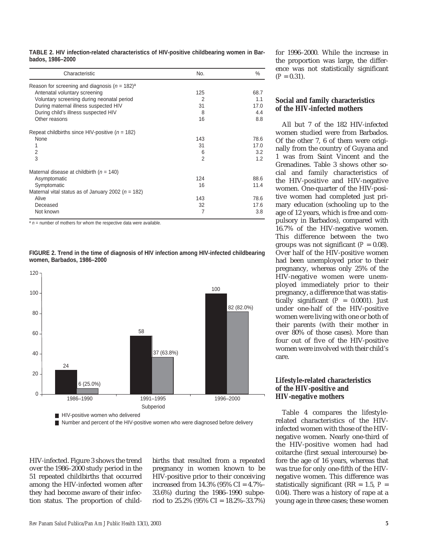| TABLE 2. HIV infection-related characteristics of HIV-positive childbearing women in Bar- |  |  |  |
|-------------------------------------------------------------------------------------------|--|--|--|
| bados, 1986-2000                                                                          |  |  |  |

| Characteristic                                                | No.            | %    |  |
|---------------------------------------------------------------|----------------|------|--|
| Reason for screening and diagnosis ( $n = 182$ ) <sup>a</sup> |                |      |  |
| Antenatal voluntary screening                                 | 125            | 68.7 |  |
| Voluntary screening during neonatal period                    | 2              | 1.1  |  |
| During maternal illness suspected HIV                         | 31             | 17.0 |  |
| During child's illness suspected HIV                          | 8              | 4.4  |  |
| Other reasons                                                 | 16             | 8.8  |  |
| Repeat childbirths since HIV-positive ( $n = 182$ )           |                |      |  |
| None                                                          | 143            | 78.6 |  |
| 1                                                             | 31             | 17.0 |  |
| 2                                                             | 6              | 3.2  |  |
| 3                                                             | $\overline{2}$ | 1.2  |  |
| Maternal disease at childbirth ( $n = 140$ )                  |                |      |  |
| Asymptomatic                                                  | 124            | 88.6 |  |
| Symptomatic                                                   | 16             | 11.4 |  |
| Maternal vital status as of January 2002 ( $n = 182$ )        |                |      |  |
| Alive                                                         | 143            | 78.6 |  |
| Deceased                                                      | 32             | 17.6 |  |
| Not known                                                     | 7              | 3.8  |  |

 $a_n$  n = number of mothers for whom the respective data were available.





HIV-infected. Figure 3 shows the trend over the 1986–2000 study period in the 51 repeated childbirths that occurred among the HIV-infected women after they had become aware of their infection status. The proportion of child-

births that resulted from a repeated pregnancy in women known to be HIV-positive prior to their conceiving increased from 14.3% (95% CI = 4.7%– 33.6%) during the 1986–1990 subperiod to  $25.2\%$  (95% CI =  $18.2\%$ -33.7%)

for 1996–2000. While the increase in the proportion was large, the difference was not statistically significant  $(P = 0.31)$ .

## **Social and family characteristics of the HIV-infected mothers**

All but 7 of the 182 HIV-infected women studied were from Barbados. Of the other 7, 6 of them were originally from the country of Guyana and 1 was from Saint Vincent and the Grenadines. Table 3 shows other social and family characteristics of the HIV-positive and HIV-negative women. One-quarter of the HIV-positive women had completed just primary education (schooling up to the age of 12 years, which is free and compulsory in Barbados), compared with 16.7% of the HIV-negative women. This difference between the two groups was not significant  $(P = 0.08)$ . Over half of the HIV-positive women had been unemployed prior to their pregnancy, whereas only 25% of the HIV-negative women were unemployed immediately prior to their pregnancy, a difference that was statistically significant  $(P = 0.0001)$ . Just under one-half of the HIV-positive women were living with one or both of their parents (with their mother in over 80% of those cases). More than four out of five of the HIV-positive women were involved with their child's care.

#### **Lifestyle-related characteristics of the HIV-positive and HIV-negative mothers**

Table 4 compares the lifestylerelated characteristics of the HIVinfected women with those of the HIVnegative women. Nearly one-third of the HIV-positive women had had coitarche (first sexual intercourse) before the age of 16 years, whereas that was true for only one-fifth of the HIVnegative women. This difference was statistically significant ( $RR = 1.5$ ,  $P =$ 0.04). There was a history of rape at a young age in three cases; these women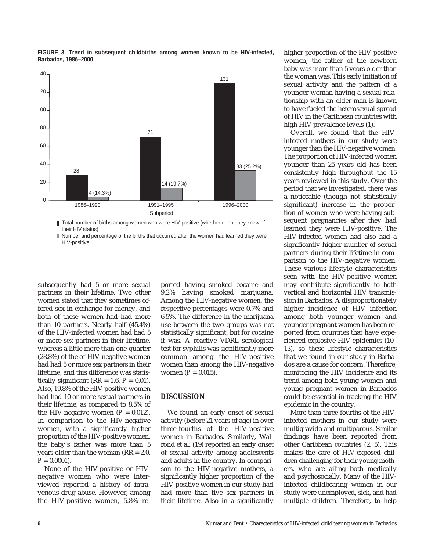

**FIGURE 3. Trend in subsequent childbirths among women known to be HIV-infected, Barbados, 1986–2000**

Total number of births among women who were HIV-positive (whether or not they knew of their HIV status)

■ Number and percentage of the births that occurred after the women had learned they were HIV-positive

subsequently had 5 or more sexual partners in their lifetime. Two other women stated that they sometimes offered sex in exchange for money, and both of these women had had more than 10 partners. Nearly half (45.4%) of the HIV-infected women had had 5 or more sex partners in their lifetime, whereas a little more than one-quarter (28.8%) of the of HIV-negative women had had 5 or more sex partners in their lifetime, and this difference was statistically significant ( $RR = 1.6$ ,  $P = 0.01$ ). Also, 19.8% of the HIV-positive women had had 10 or more sexual partners in their lifetime, as compared to 8.5% of the HIV-negative women  $(P = 0.012)$ . In comparison to the HIV-negative women, with a significantly higher proportion of the HIV-positive women, the baby's father was more than 5 years older than the woman (RR = 2.0,  $P = 0.0001$ .

None of the HIV-positive or HIVnegative women who were interviewed reported a history of intravenous drug abuse. However, among the HIV-positive women, 5.8% reported having smoked cocaine and 9.2% having smoked marijuana. Among the HIV-negative women, the respective percentages were 0.7% and 6.5%. The difference in the marijuana use between the two groups was not statistically significant, but for cocaine it was. A reactive VDRL serological test for syphilis was significantly more common among the HIV-positive women than among the HIV-negative women  $(P = 0.015)$ .

#### **DISCUSSION**

We found an early onset of sexual activity (before 21 years of age) in over three-fourths of the HIV-positive women in Barbados. Similarly, Walrond et al. (19) reported an early onset of sexual activity among adolescents and adults in the country. In comparison to the HIV-negative mothers, a significantly higher proportion of the HIV-positive women in our study had had more than five sex partners in their lifetime. Also in a significantly

higher proportion of the HIV-positive women, the father of the newborn baby was more than 5 years older than the woman was. This early initiation of sexual activity and the pattern of a younger woman having a sexual relationship with an older man is known to have fueled the heterosexual spread of HIV in the Caribbean countries with high HIV prevalence levels (1).

Overall, we found that the HIVinfected mothers in our study were younger than the HIV-negative women. The proportion of HIV-infected women younger than 25 years old has been consistently high throughout the 15 years reviewed in this study. Over the period that we investigated, there was a noticeable (though not statistically significant) increase in the proportion of women who were having subsequent pregnancies after they had learned they were HIV-positive. The HIV-infected women had also had a significantly higher number of sexual partners during their lifetime in comparison to the HIV-negative women. These various lifestyle characteristics seen with the HIV-positive women may contribute significantly to both vertical and horizontal HIV transmission in Barbados. A disproportionately higher incidence of HIV infection among both younger women and younger pregnant women has been reported from countries that have experienced explosive HIV epidemics (10– 13), so these lifestyle characteristics that we found in our study in Barbados are a cause for concern. Therefore, monitoring the HIV incidence and its trend among both young women and young pregnant women in Barbados could be essential in tracking the HIV epidemic in the country.

More than three-fourths of the HIVinfected mothers in our study were multigravida and multiparous. Similar findings have been reported from other Caribbean countries (2, 5). This makes the care of HIV-exposed children challenging for their young mothers, who are ailing both medically and psychosocially. Many of the HIVinfected childbearing women in our study were unemployed, sick, and had multiple children. Therefore, to help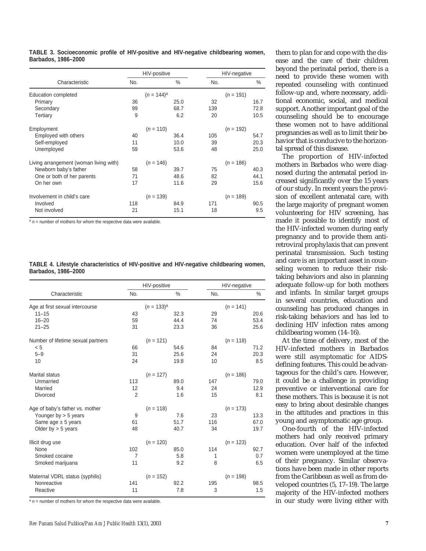|                                        | HIV-positive |               |      |     | HIV-negative |      |  |
|----------------------------------------|--------------|---------------|------|-----|--------------|------|--|
| Characteristic                         | No.          |               | $\%$ | No. |              | $\%$ |  |
| Education completed                    |              | $(n = 144)^a$ |      |     | $(n = 191)$  |      |  |
| Primary                                | 36           |               | 25.0 | 32  |              | 16.7 |  |
| Secondary                              | 99           |               | 68.7 | 139 |              | 72.8 |  |
| Tertiary                               | 9            |               | 6.2  | 20  |              | 10.5 |  |
| Employment                             |              | $(n = 110)$   |      |     | $(n = 192)$  |      |  |
| Employed with others                   | 40           |               | 36.4 | 105 |              | 54.7 |  |
| Self-employed                          | 11           |               | 10.0 | 39  |              | 20.3 |  |
| Unemployed                             | 59           |               | 53.6 | 48  |              | 25.0 |  |
| Living arrangement (woman living with) |              | $(n = 146)$   |      |     | $(n = 186)$  |      |  |
| Newborn baby's father                  | 58           |               | 39.7 | 75  |              | 40.3 |  |
| One or both of her parents             | 71           |               | 48.6 | 82  |              | 44.1 |  |
| On her own                             | 17           |               | 11.6 | 29  |              | 15.6 |  |
| Involvement in child's care            |              | $(n = 139)$   |      |     | $(n = 189)$  |      |  |
| Involved                               | 118          |               | 84.9 | 171 |              | 90.5 |  |
| Not involved                           | 21           |               | 15.1 | 18  |              | 9.5  |  |

**TABLE 3. Socioeconomic profile of HIV-positive and HIV-negative childbearing women, Barbados, 1986–2000**

 $a_n$  n = number of mothers for whom the respective data were available.

|                     | TABLE 4. Lifestyle characteristics of HIV-positive and HIV-negative childbearing women, |  |  |  |
|---------------------|-----------------------------------------------------------------------------------------|--|--|--|
| Barbados, 1986-2000 |                                                                                         |  |  |  |

|                                    |                 | HIV-positive |      | HIV-negative |             |      |
|------------------------------------|-----------------|--------------|------|--------------|-------------|------|
| Characteristic                     | No.             |              | $\%$ | No.          |             | $\%$ |
| Age at first sexual intercourse    | $(n = 133)^{a}$ |              |      | $(n = 141)$  |             |      |
| $11 - 15$                          | 43              |              | 32.3 | 29           |             | 20.6 |
| $16 - 20$                          | 59              |              | 44.4 | 74           |             | 53.4 |
| $21 - 25$                          | 31              |              | 23.3 | 36           |             | 25.6 |
| Number of lifetime sexual partners |                 | $(n = 121)$  |      |              | $(n = 118)$ |      |
| < 5                                | 66              |              | 54.6 | 84           |             | 71.2 |
| $5 - 9$                            | 31              |              | 25.6 | 24           |             | 20.3 |
| 10                                 | 24              |              | 19.8 | 10           |             | 8.5  |
| <b>Marital status</b>              |                 | $(n = 127)$  |      |              | $(n = 186)$ |      |
| Unmarried                          | 113             |              | 89.0 | 147          |             | 79.0 |
| Married                            | 12              |              | 9.4  | 24           |             | 12.9 |
| <b>Divorced</b>                    | $\overline{2}$  |              | 1.6  | 15           |             | 8.1  |
| Age of baby's father vs. mother    |                 | $(n = 118)$  |      |              | $(n = 173)$ |      |
| Younger by $>$ 5 years             | 9               |              | 7.6  | 23           |             | 13.3 |
| Same age $\pm$ 5 years             | 61              |              | 51.7 | 116          |             | 67.0 |
| Older by $>$ 5 years               | 48              |              | 40.7 | 34           |             | 19.7 |
| Illicit drug use                   |                 | $(n = 120)$  |      |              | $(n = 123)$ |      |
| None                               | 102             |              | 85.0 | 114          |             | 92.7 |
| Smoked cocaine                     | 7               |              | 5.8  | 1            |             | 0.7  |
| Smoked marijuana                   | 11              |              | 9.2  | 8            |             | 6.5  |
| Maternal VDRL status (syphilis)    |                 | $(n = 152)$  |      |              | $(n = 198)$ |      |
| Nonreactive                        | 141             |              | 92.2 | 195          |             | 98.5 |
| Reactive                           | 11              |              | 7.8  | 3            |             | 1.5  |

 $a_n$  n = number of mothers for whom the respective data were available.

them to plan for and cope with the disease and the care of their children beyond the perinatal period, there is a need to provide these women with repeated counseling with continued follow-up and, where necessary, additional economic, social, and medical support. Another important goal of the counseling should be to encourage these women not to have additional pregnancies as well as to limit their behavior that is conducive to the horizontal spread of this disease.

The proportion of HIV-infected mothers in Barbados who were diagnosed during the antenatal period increased significantly over the 15 years of our study. In recent years the provision of excellent antenatal care, with the large majority of pregnant women volunteering for HIV screening, has made it possible to identify most of the HIV-infected women during early pregnancy and to provide them antiretroviral prophylaxis that can prevent perinatal transmission. Such testing and care is an important asset in counseling women to reduce their risktaking behaviors and also in planning adequate follow-up for both mothers and infants. In similar target groups in several countries, education and counseling has produced changes in risk-taking behaviors and has led to declining HIV infection rates among childbearing women (14–16).

At the time of delivery, most of the HIV-infected mothers in Barbados were still asymptomatic for AIDSdefining features. This could be advantageous for the child's care. However, it could be a challenge in providing preventive or interventional care for these mothers. This is because it is not easy to bring about desirable changes in the attitudes and practices in this young and asymptomatic age group.

One-fourth of the HIV-infected mothers had only received primary education. Over half of the infected women were unemployed at the time of their pregnancy. Similar observations have been made in other reports from the Caribbean as well as from developed countries (5, 17–19). The large majority of the HIV-infected mothers in our study were living either with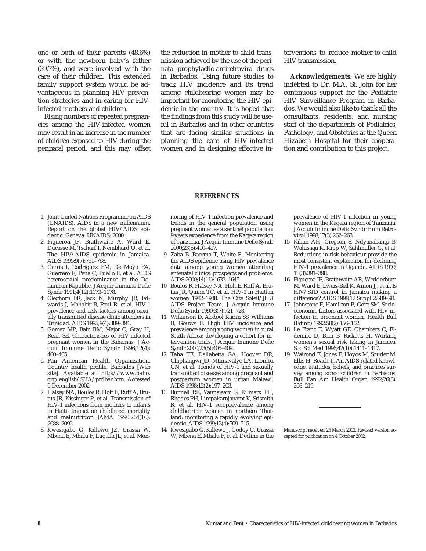one or both of their parents (48.6%) or with the newborn baby's father (39.7%), and were involved with the care of their children. This extended family support system would be advantageous in planning HIV prevention strategies and in caring for HIVinfected mothers and children.

Rising numbers of repeated pregnancies among the HIV-infected women may result in an increase in the number of children exposed to HIV during the perinatal period, and this may offset the reduction in mother-to-child transmission achieved by the use of the perinatal prophylactic antiretroviral drugs in Barbados. Using future studies to track HIV incidence and its trend among childbearing women may be important for monitoring the HIV epidemic in the country. It is hoped that the findings from this study will be useful in Barbados and in other countries that are facing similar situations in planning the care of HIV-infected women and in designing effective interventions to reduce mother-to-child HIV transmission.

**Acknowledgements.** We are highly indebted to Dr. M.A. St. John for her continuous support for the Pediatric HIV Surveillance Program in Barbados. We would also like to thank all the consultants, residents, and nursing staff of the departments of Pediatrics, Pathology, and Obstetrics at the Queen Elizabeth Hospital for their cooperation and contribution to this project.

#### **REFERENCES**

- 1. Joint United Nations Programme on AIDS (UNAIDS). AIDS in a new millennium. Report on the global HIV/AIDS epidemic. Geneva: UNAIDS; 2000.
- 2. Figueroa JP, Brathwaite A, Ward E, Ducasse M, Tscharf I, Nembhard O, et al. The HIV/AIDS epidemic in Jamaica. AIDS 1995;9(7):761–768.
- 3. Garris I, Rodriguez EM, De Moya EA, Guerrero E, Pena C, Puello E, et al. AIDS heterosexual predominance in the Dominican Republic. J Acquir Immune Defic Syndr 1991;4(12):1173–1178.
- 4. Cleghorn FR, Jack N, Murphy JR, Edwards J, Mahabir B, Paul R, et al. HIV-1 prevalence and risk factors among sexually transmitted disease clinic attenders in Trinidad. AIDS 1995;9(4):389–394.
- 5. Gomez MP, Bain RM, Major C, Gray H, Read SE. Characteristics of HIV-infected pregnant women in the Bahamas. J Acquir Immune Defic Syndr 1996;12(4):  $400 - 405$ .
- 6. Pan American Health Organization. Country health profile. Barbados [Web site]. Available at: http://www.paho. org/english/SHA/prflbar.htm. Accessed 6 December 2002.
- 7. Halsey NA, Boulos R, Holt E, Ruff A, Brutus JR, Kissinger P, et al. Transmission of HIV-1 infections from mothers to infants in Haiti. Impact on childhood mortality and malnutrition JAMA 1990:264(16): 2088–2092.
- 8. Kwesigabo G, Killewo JZ, Urassa W, Mbena E, Mhalu F, Lugalla JL, et al. Mon-

itoring of HIV-1 infection prevalence and trends in the general population using pregnant women as a sentinel population: 9 years experience from the Kagera region of Tanzania. J Acquir Immune Defic Syndr 2000;23(5):410–417.

- 9. Zaba B, Boerma T, White R. Monitoring the AIDS epidemic using HIV prevalence data among young women attending antenatal clinics: prospects and problems. AIDS 2000;14(11):1633–1645.
- 10. Boulos R, Halsey NA, Holt E, Ruff A, Brutus JR, Quinn TC, et al. HIV-1 in Haitian women 1982–1988. The Cite Soleil/JHU AIDS Project Team. J Acquir Immune Defic Syndr 1990;3(7):721–728.
- 11. Wilkinson D, Abdool Karim SS, Williams B, Gouws E. High HIV incidence and prevalence among young women in rural South Africa: developing a cohort for intervention trials. J Acquir Immune Defic Syndr 2000;23(5):405–409.
- 12. Taha TE, Dallabetta GA, Hoover DR, Chiphangwi JD, Mtimavalye LA, Liomba GN, et al. Trends of HIV-1 and sexually transmitted diseases among pregnant and postpartum women in urban Malawi. AIDS 1998;12(2):197–203.
- 13. Bunnell RE, Yanpaisarn S, Kilmarx PH, Rhodes PH, Limpakarnjanarat K, Srismith R, et al. HIV-1 seroprevalence among childbearing women in northern Thailand: monitoring a rapidly evolving epidemic. AIDS 1999;13(4):509–515.
- 14. Kwesigabo G, Killewo J, Godoy C, Urassa W, Mbena E, Mhalu F, et al. Decline in the

prevalence of HIV-1 infection in young women in the Kagera region of Tanzania. J Acquir Immune Defic Syndr Hum Retrovirol 1998;17(3):262–268.

- 15. Kilian AH, Gregson S, Ndyanabangi B, Walusaga K, Kipp W, Sahlmuller G, et al. Reductions in risk behaviour provide the most consistent explanation for declining HIV-1 prevalence in Uganda. AIDS 1999; 13(3):391–398.
- 16. Figueroa JP, Brathwaite AR, Wedderburn M, Ward E, Lweis-Bell K, Amon JJ, et al. Is HIV/STD control in Jamaica making a difference? AIDS 1998;12 Suppl 2:S89–98.
- 17. Johnstone F, Hamilton B, Gore SM. Socioeconomic factors associated with HIV infection in pregnant women. Health Bull  $(Edin)$  1992;50(2):156-162.
- 18. Le Franc E, Wyatt GE, Chambers C, Eldemire D, Bain B, Ricketts H. Working women's sexual risk taking in Jamaica. Soc Sci Med 1996;42(10):1411–1417.
- 19. Walrond E, Jones F, Hoyos M, Souder M, Ellis H, Roach T. An AIDS-related knowledge, attitudes, beliefs, and practices survey among schoolchildren in Barbados. Bull Pan Am Health Organ 1992;26(3): 208–219.

Manuscript received 25 March 2002. Revised version accepted for publication on 4 October 2002.